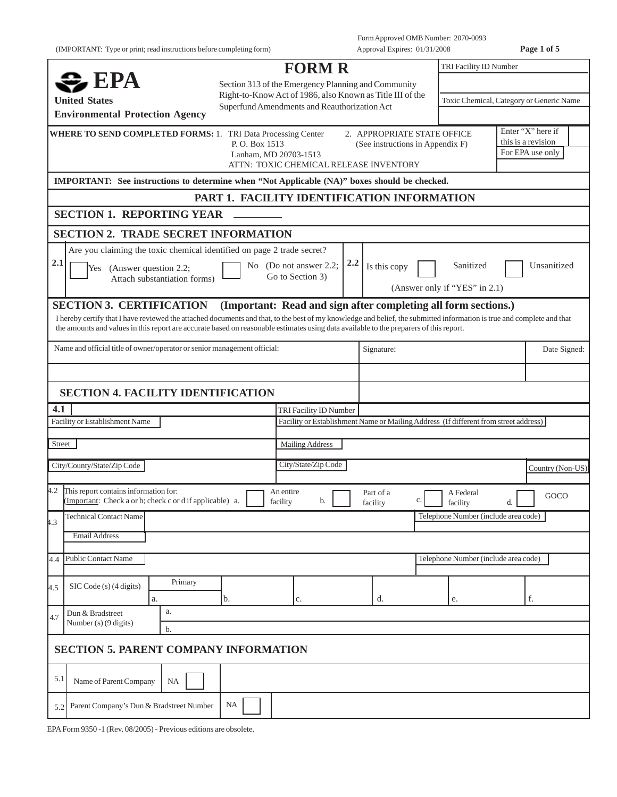(IMPORTANT: Type or print; read instructions before completing form) Approval Expires: 01/31/2008 **Page 1 of 5**

|                                                                                                                                                                                                                                                                                                                  |                                                                                                           | <b>FORM R</b>          |                                                                                      | TRI Facility ID Number                   |    |                                         |
|------------------------------------------------------------------------------------------------------------------------------------------------------------------------------------------------------------------------------------------------------------------------------------------------------------------|-----------------------------------------------------------------------------------------------------------|------------------------|--------------------------------------------------------------------------------------|------------------------------------------|----|-----------------------------------------|
| $\approx$ EPA                                                                                                                                                                                                                                                                                                    |                                                                                                           |                        | Section 313 of the Emergency Planning and Community                                  |                                          |    |                                         |
| <b>United States</b>                                                                                                                                                                                                                                                                                             | Right-to-Know Act of 1986, also Known as Title III of the<br>Superfund Amendments and Reauthorization Act |                        |                                                                                      | Toxic Chemical, Category or Generic Name |    |                                         |
| <b>Environmental Protection Agency</b>                                                                                                                                                                                                                                                                           |                                                                                                           |                        |                                                                                      |                                          |    |                                         |
| <b>WHERE TO SEND COMPLETED FORMS: 1. TRI Data Processing Center</b>                                                                                                                                                                                                                                              | P. O. Box 1513                                                                                            |                        | 2. APPROPRIATE STATE OFFICE<br>(See instructions in Appendix F)                      |                                          |    | Enter "X" here if<br>this is a revision |
|                                                                                                                                                                                                                                                                                                                  | Lanham, MD 20703-1513                                                                                     |                        | ATTN: TOXIC CHEMICAL RELEASE INVENTORY                                               |                                          |    | For EPA use only                        |
| IMPORTANT: See instructions to determine when "Not Applicable (NA)" boxes should be checked.                                                                                                                                                                                                                     |                                                                                                           |                        |                                                                                      |                                          |    |                                         |
|                                                                                                                                                                                                                                                                                                                  | PART 1. FACILITY IDENTIFICATION INFORMATION                                                               |                        |                                                                                      |                                          |    |                                         |
| <b>SECTION 1. REPORTING YEAR</b>                                                                                                                                                                                                                                                                                 |                                                                                                           |                        |                                                                                      |                                          |    |                                         |
| <b>SECTION 2. TRADE SECRET INFORMATION</b>                                                                                                                                                                                                                                                                       |                                                                                                           |                        |                                                                                      |                                          |    |                                         |
| Are you claiming the toxic chemical identified on page 2 trade secret?                                                                                                                                                                                                                                           |                                                                                                           |                        |                                                                                      |                                          |    |                                         |
| 2.1<br>(Answer question 2.2;<br>Yes                                                                                                                                                                                                                                                                              |                                                                                                           | No (Do not answer 2.2; | 2.2<br>Is this copy                                                                  | Sanitized                                |    | Unsanitized                             |
| Attach substantiation forms)                                                                                                                                                                                                                                                                                     |                                                                                                           | Go to Section 3)       |                                                                                      | (Answer only if "YES" in 2.1)            |    |                                         |
| <b>SECTION 3. CERTIFICATION</b>                                                                                                                                                                                                                                                                                  |                                                                                                           |                        | (Important: Read and sign after completing all form sections.)                       |                                          |    |                                         |
| I hereby certify that I have reviewed the attached documents and that, to the best of my knowledge and belief, the submitted information is true and complete and that<br>the amounts and values in this report are accurate based on reasonable estimates using data available to the preparers of this report. |                                                                                                           |                        |                                                                                      |                                          |    |                                         |
|                                                                                                                                                                                                                                                                                                                  |                                                                                                           |                        |                                                                                      |                                          |    |                                         |
| Name and official title of owner/operator or senior management official:                                                                                                                                                                                                                                         |                                                                                                           |                        | Signature:                                                                           |                                          |    | Date Signed:                            |
|                                                                                                                                                                                                                                                                                                                  |                                                                                                           |                        |                                                                                      |                                          |    |                                         |
| <b>SECTION 4. FACILITY IDENTIFICATION</b>                                                                                                                                                                                                                                                                        |                                                                                                           |                        |                                                                                      |                                          |    |                                         |
| 4.1                                                                                                                                                                                                                                                                                                              |                                                                                                           | TRI Facility ID Number |                                                                                      |                                          |    |                                         |
| Facility or Establishment Name                                                                                                                                                                                                                                                                                   |                                                                                                           |                        | Facility or Establishment Name or Mailing Address (If different from street address) |                                          |    |                                         |
| Street                                                                                                                                                                                                                                                                                                           |                                                                                                           | <b>Mailing Address</b> |                                                                                      |                                          |    |                                         |
| City/County/State/Zip Code                                                                                                                                                                                                                                                                                       |                                                                                                           | City/State/Zip Code    |                                                                                      |                                          |    | Country (Non-US)                        |
|                                                                                                                                                                                                                                                                                                                  |                                                                                                           |                        |                                                                                      |                                          |    |                                         |
| 4.2<br>This report contains information for:<br>(Important: Check a or b; check c or d if applicable) a.                                                                                                                                                                                                         | facility                                                                                                  | An entire<br>b.        | Part of a<br>c.<br>facility                                                          | A Federal<br>facility                    | d. | GOCO                                    |
|                                                                                                                                                                                                                                                                                                                  |                                                                                                           |                        |                                                                                      |                                          |    |                                         |
| <b>Technical Contact Name</b>                                                                                                                                                                                                                                                                                    |                                                                                                           |                        |                                                                                      | Telephone Number (include area code)     |    |                                         |
| <b>Email Address</b>                                                                                                                                                                                                                                                                                             |                                                                                                           |                        |                                                                                      |                                          |    |                                         |
| <b>Public Contact Name</b>                                                                                                                                                                                                                                                                                       |                                                                                                           |                        |                                                                                      | Telephone Number (include area code)     |    |                                         |
| Primary                                                                                                                                                                                                                                                                                                          |                                                                                                           |                        |                                                                                      |                                          |    |                                         |
| SIC Code (s) (4 digits)<br>a.                                                                                                                                                                                                                                                                                    | b.                                                                                                        | c.                     | d.                                                                                   | e.                                       |    | f.                                      |
| a.<br>Dun & Bradstreet                                                                                                                                                                                                                                                                                           |                                                                                                           |                        |                                                                                      |                                          |    |                                         |
| $\overline{.3}$<br>Number (s) $(9 \text{ digits})$<br>b.                                                                                                                                                                                                                                                         |                                                                                                           |                        |                                                                                      |                                          |    |                                         |
| 4.4<br>4.7<br><b>SECTION 5. PARENT COMPANY INFORMATION</b>                                                                                                                                                                                                                                                       |                                                                                                           |                        |                                                                                      |                                          |    |                                         |
| 4.5<br>5.1<br>Name of Parent Company<br><b>NA</b>                                                                                                                                                                                                                                                                |                                                                                                           |                        |                                                                                      |                                          |    |                                         |

EPA Form 9350 -1 (Rev. 08/2005) - Previous editions are obsolete.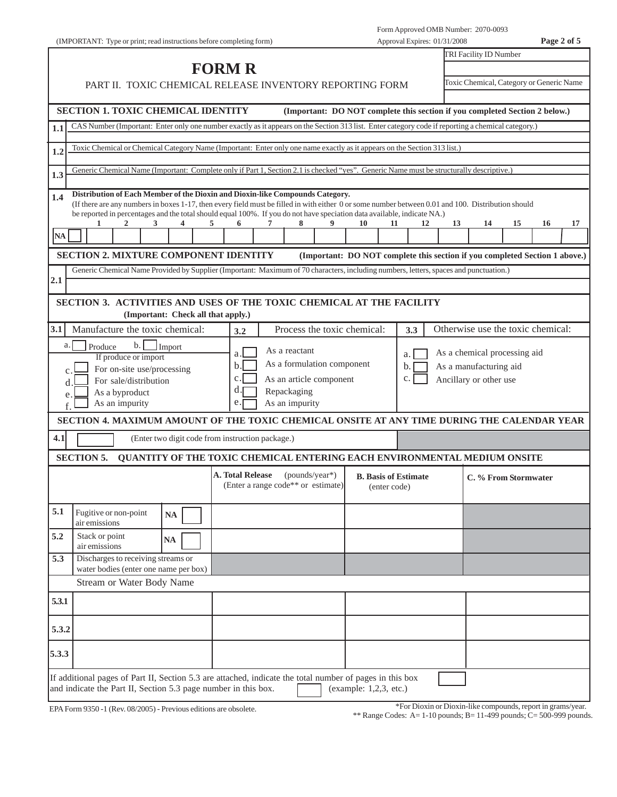| Page 2 of 5<br>(IMPORTANT: Type or print; read instructions before completing form)<br>Approval Expires: 01/31/2008                                                                                                                                                                                                                                                   |                                                                                                      |                             |                                                                             |  |  |  |  |  |
|-----------------------------------------------------------------------------------------------------------------------------------------------------------------------------------------------------------------------------------------------------------------------------------------------------------------------------------------------------------------------|------------------------------------------------------------------------------------------------------|-----------------------------|-----------------------------------------------------------------------------|--|--|--|--|--|
|                                                                                                                                                                                                                                                                                                                                                                       |                                                                                                      |                             | TRI Facility ID Number                                                      |  |  |  |  |  |
|                                                                                                                                                                                                                                                                                                                                                                       | <b>FORM R</b>                                                                                        |                             |                                                                             |  |  |  |  |  |
|                                                                                                                                                                                                                                                                                                                                                                       | Toxic Chemical, Category or Generic Name<br>PART II. TOXIC CHEMICAL RELEASE INVENTORY REPORTING FORM |                             |                                                                             |  |  |  |  |  |
|                                                                                                                                                                                                                                                                                                                                                                       |                                                                                                      |                             |                                                                             |  |  |  |  |  |
| <b>SECTION 1. TOXIC CHEMICAL IDENTITY</b><br>(Important: DO NOT complete this section if you completed Section 2 below.)                                                                                                                                                                                                                                              |                                                                                                      |                             |                                                                             |  |  |  |  |  |
| CAS Number (Important: Enter only one number exactly as it appears on the Section 313 list. Enter category code if reporting a chemical category.)<br>1.1                                                                                                                                                                                                             |                                                                                                      |                             |                                                                             |  |  |  |  |  |
| Toxic Chemical or Chemical Category Name (Important: Enter only one name exactly as it appears on the Section 313 list.)                                                                                                                                                                                                                                              |                                                                                                      |                             |                                                                             |  |  |  |  |  |
| 1.2                                                                                                                                                                                                                                                                                                                                                                   |                                                                                                      |                             |                                                                             |  |  |  |  |  |
| Generic Chemical Name (Important: Complete only if Part 1, Section 2.1 is checked "yes". Generic Name must be structurally descriptive.)<br>1.3                                                                                                                                                                                                                       |                                                                                                      |                             |                                                                             |  |  |  |  |  |
|                                                                                                                                                                                                                                                                                                                                                                       |                                                                                                      |                             |                                                                             |  |  |  |  |  |
| Distribution of Each Member of the Dioxin and Dioxin-like Compounds Category.<br>1.4<br>(If there are any numbers in boxes 1-17, then every field must be filled in with either 0 or some number between 0.01 and 100. Distribution should<br>be reported in percentages and the total should equal 100%. If you do not have speciation data available, indicate NA.) |                                                                                                      |                             |                                                                             |  |  |  |  |  |
| 2<br>3<br>4                                                                                                                                                                                                                                                                                                                                                           | 6<br>8<br>5<br>7                                                                                     | 10<br>11<br>12              | 16<br>17<br>13<br>14<br>15                                                  |  |  |  |  |  |
| NA                                                                                                                                                                                                                                                                                                                                                                    |                                                                                                      |                             |                                                                             |  |  |  |  |  |
| <b>SECTION 2. MIXTURE COMPONENT IDENTITY</b>                                                                                                                                                                                                                                                                                                                          |                                                                                                      |                             | (Important: DO NOT complete this section if you completed Section 1 above.) |  |  |  |  |  |
| Generic Chemical Name Provided by Supplier (Important: Maximum of 70 characters, including numbers, letters, spaces and punctuation.)                                                                                                                                                                                                                                 |                                                                                                      |                             |                                                                             |  |  |  |  |  |
| 2.1                                                                                                                                                                                                                                                                                                                                                                   |                                                                                                      |                             |                                                                             |  |  |  |  |  |
| SECTION 3. ACTIVITIES AND USES OF THE TOXIC CHEMICAL AT THE FACILITY<br>(Important: Check all that apply.)                                                                                                                                                                                                                                                            |                                                                                                      |                             |                                                                             |  |  |  |  |  |
| 3.1<br>Manufacture the toxic chemical:                                                                                                                                                                                                                                                                                                                                | Process the toxic chemical:<br>3.2                                                                   | 3.3                         | Otherwise use the toxic chemical:                                           |  |  |  |  |  |
| $\mathbf{b}$ .<br>a.<br>Produce<br>Import                                                                                                                                                                                                                                                                                                                             |                                                                                                      |                             |                                                                             |  |  |  |  |  |
| If produce or import                                                                                                                                                                                                                                                                                                                                                  | As a reactant<br>a                                                                                   | a.                          | As a chemical processing aid                                                |  |  |  |  |  |
| For on-site use/processing                                                                                                                                                                                                                                                                                                                                            | As a formulation component<br>b.                                                                     | b.                          | As a manufacturing aid                                                      |  |  |  |  |  |
| For sale/distribution<br><sub>d</sub>                                                                                                                                                                                                                                                                                                                                 | $\mathbf{c}$ .<br>As an article component                                                            | c.                          | Ancillary or other use                                                      |  |  |  |  |  |
| As a byproduct<br>e.                                                                                                                                                                                                                                                                                                                                                  | d.<br>Repackaging                                                                                    |                             |                                                                             |  |  |  |  |  |
| As an impurity                                                                                                                                                                                                                                                                                                                                                        | As an impurity<br>e.                                                                                 |                             |                                                                             |  |  |  |  |  |
| SECTION 4. MAXIMUM AMOUNT OF THE TOXIC CHEMICAL ONSITE AT ANY TIME DURING THE CALENDAR YEAR                                                                                                                                                                                                                                                                           |                                                                                                      |                             |                                                                             |  |  |  |  |  |
| 4.1                                                                                                                                                                                                                                                                                                                                                                   | (Enter two digit code from instruction package.)                                                     |                             |                                                                             |  |  |  |  |  |
| <b>SECTION 5.</b>                                                                                                                                                                                                                                                                                                                                                     | <b>QUANTITY OF THE TOXIC CHEMICAL ENTERING EACH ENVIRONMENTAL MEDIUM ONSITE</b>                      |                             |                                                                             |  |  |  |  |  |
|                                                                                                                                                                                                                                                                                                                                                                       | A. Total Release<br>$(pounds/year*)$                                                                 | <b>B.</b> Basis of Estimate | C. % From Stormwater                                                        |  |  |  |  |  |
|                                                                                                                                                                                                                                                                                                                                                                       | (Enter a range code** or estimate)                                                                   | (enter code)                |                                                                             |  |  |  |  |  |
|                                                                                                                                                                                                                                                                                                                                                                       |                                                                                                      |                             |                                                                             |  |  |  |  |  |
| 5.1<br>Fugitive or non-point<br><b>NA</b><br>air emissions                                                                                                                                                                                                                                                                                                            |                                                                                                      |                             |                                                                             |  |  |  |  |  |
| 5.2<br>Stack or point<br>NA<br>air emissions                                                                                                                                                                                                                                                                                                                          |                                                                                                      |                             |                                                                             |  |  |  |  |  |
| Discharges to receiving streams or<br>5.3<br>water bodies (enter one name per box)                                                                                                                                                                                                                                                                                    |                                                                                                      |                             |                                                                             |  |  |  |  |  |
| <b>Stream or Water Body Name</b>                                                                                                                                                                                                                                                                                                                                      |                                                                                                      |                             |                                                                             |  |  |  |  |  |
| 5.3.1                                                                                                                                                                                                                                                                                                                                                                 |                                                                                                      |                             |                                                                             |  |  |  |  |  |
| 5.3.2                                                                                                                                                                                                                                                                                                                                                                 |                                                                                                      |                             |                                                                             |  |  |  |  |  |
|                                                                                                                                                                                                                                                                                                                                                                       |                                                                                                      |                             |                                                                             |  |  |  |  |  |
| 5.3.3                                                                                                                                                                                                                                                                                                                                                                 |                                                                                                      |                             |                                                                             |  |  |  |  |  |
| If additional pages of Part II, Section 5.3 are attached, indicate the total number of pages in this box<br>and indicate the Part II, Section 5.3 page number in this box.                                                                                                                                                                                            |                                                                                                      | (example: $1,2,3$ , etc.)   |                                                                             |  |  |  |  |  |

EPA Form 9350 -1 (Rev. 08/2005) - Previous editions are obsolete.

\*For Dioxin or Dioxin-like compounds, report in grams/year.

\*\* Range Codes: A= 1-10 pounds; B= 11-499 pounds; C= 500-999 pounds.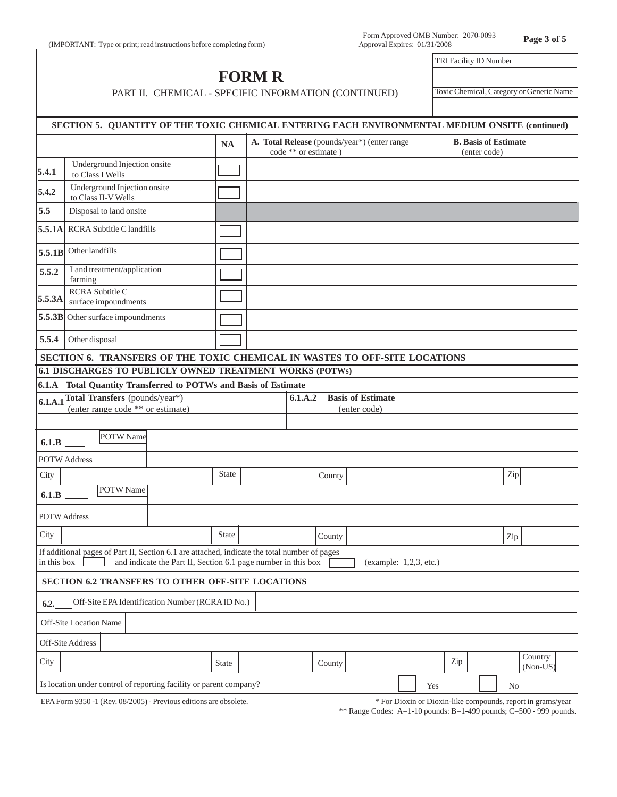## **FORM R** PART II. CHEMICAL - SPECIFIC INFORMATION (CONTINUED)

Toxic Chemical, Category or Generic Name

TRI Facility ID Number

|                            | SECTION 5. QUANTITY OF THE TOXIC CHEMICAL ENTERING EACH ENVIRONMENTAL MEDIUM ONSITE (continued) |                                                               |              |                                                                      |                          |                        |     |                                             |  |     |                     |  |
|----------------------------|-------------------------------------------------------------------------------------------------|---------------------------------------------------------------|--------------|----------------------------------------------------------------------|--------------------------|------------------------|-----|---------------------------------------------|--|-----|---------------------|--|
|                            |                                                                                                 |                                                               | <b>NA</b>    | A. Total Release (pounds/year*) (enter range<br>code ** or estimate) |                          |                        |     | <b>B.</b> Basis of Estimate<br>(enter code) |  |     |                     |  |
| 5.4.1                      | Underground Injection onsite<br>to Class I Wells                                                |                                                               |              |                                                                      |                          |                        |     |                                             |  |     |                     |  |
| 5.4.2                      | Underground Injection onsite<br>to Class II-V Wells                                             |                                                               |              |                                                                      |                          |                        |     |                                             |  |     |                     |  |
| 5.5                        | Disposal to land onsite                                                                         |                                                               |              |                                                                      |                          |                        |     |                                             |  |     |                     |  |
|                            | <b>5.5.1A</b> RCRA Subtitle C landfills                                                         |                                                               |              |                                                                      |                          |                        |     |                                             |  |     |                     |  |
| 5.5.1B                     | Other landfills                                                                                 |                                                               |              |                                                                      |                          |                        |     |                                             |  |     |                     |  |
| 5.5.2                      | Land treatment/application<br>farming                                                           |                                                               |              |                                                                      |                          |                        |     |                                             |  |     |                     |  |
| 5.5.3A                     | RCRA Subtitle C<br>surface impoundments                                                         |                                                               |              |                                                                      |                          |                        |     |                                             |  |     |                     |  |
|                            | 5.5.3B Other surface impoundments                                                               |                                                               |              |                                                                      |                          |                        |     |                                             |  |     |                     |  |
| 5.5.4                      | Other disposal                                                                                  |                                                               |              |                                                                      |                          |                        |     |                                             |  |     |                     |  |
|                            | SECTION 6. TRANSFERS OF THE TOXIC CHEMICAL IN WASTES TO OFF-SITE LOCATIONS                      |                                                               |              |                                                                      |                          |                        |     |                                             |  |     |                     |  |
|                            | <b>6.1 DISCHARGES TO PUBLICLY OWNED TREATMENT WORKS (POTWs)</b>                                 |                                                               |              |                                                                      |                          |                        |     |                                             |  |     |                     |  |
|                            | 6.1.A Total Quantity Transferred to POTWs and Basis of Estimate                                 |                                                               |              |                                                                      |                          |                        |     |                                             |  |     |                     |  |
|                            | 6.1.A.1 Total Transfers (pounds/year*)                                                          |                                                               |              | 6.1.A.2                                                              | <b>Basis of Estimate</b> |                        |     |                                             |  |     |                     |  |
|                            | (enter range code ** or estimate)                                                               |                                                               |              |                                                                      | (enter code)             |                        |     |                                             |  |     |                     |  |
|                            |                                                                                                 |                                                               |              |                                                                      |                          |                        |     |                                             |  |     |                     |  |
| 6.1.B                      | POTW Name                                                                                       |                                                               |              |                                                                      |                          |                        |     |                                             |  |     |                     |  |
|                            | <b>POTW Address</b>                                                                             |                                                               |              |                                                                      |                          |                        |     |                                             |  |     |                     |  |
| City                       |                                                                                                 |                                                               | <b>State</b> | County                                                               |                          |                        |     |                                             |  | Zip |                     |  |
| 6.1.B                      | POTW Name                                                                                       |                                                               |              |                                                                      |                          |                        |     |                                             |  |     |                     |  |
| <b>POTW Address</b>        |                                                                                                 |                                                               |              |                                                                      |                          |                        |     |                                             |  |     |                     |  |
| City                       |                                                                                                 |                                                               | State        | County                                                               |                          |                        |     |                                             |  | Zip |                     |  |
| in this box $\blacksquare$ | If additional pages of Part II, Section 6.1 are attached, indicate the total number of pages    | and indicate the Part II, Section 6.1 page number in this box |              |                                                                      |                          | (example: 1,2,3, etc.) |     |                                             |  |     |                     |  |
|                            | SECTION 6.2 TRANSFERS TO OTHER OFF-SITE LOCATIONS                                               |                                                               |              |                                                                      |                          |                        |     |                                             |  |     |                     |  |
| 6.2.                       | Off-Site EPA Identification Number (RCRAID No.)                                                 |                                                               |              |                                                                      |                          |                        |     |                                             |  |     |                     |  |
|                            | Off-Site Location Name                                                                          |                                                               |              |                                                                      |                          |                        |     |                                             |  |     |                     |  |
|                            | Off-Site Address                                                                                |                                                               |              |                                                                      |                          |                        |     |                                             |  |     |                     |  |
| City                       |                                                                                                 |                                                               | State        | County                                                               |                          |                        |     | Zip                                         |  |     | Country<br>(Non-US) |  |
|                            | Is location under control of reporting facility or parent company?                              |                                                               |              |                                                                      |                          |                        | Yes |                                             |  | No  |                     |  |
|                            |                                                                                                 |                                                               |              |                                                                      |                          |                        |     |                                             |  |     |                     |  |

EPA Form 9350 -1 (Rev. 08/2005) - Previous editions are obsolete.

\* For Dioxin or Dioxin-like compounds, report in grams/year

\*\* Range Codes: A=1-10 pounds: B=1-499 pounds; C=500 - 999 pounds.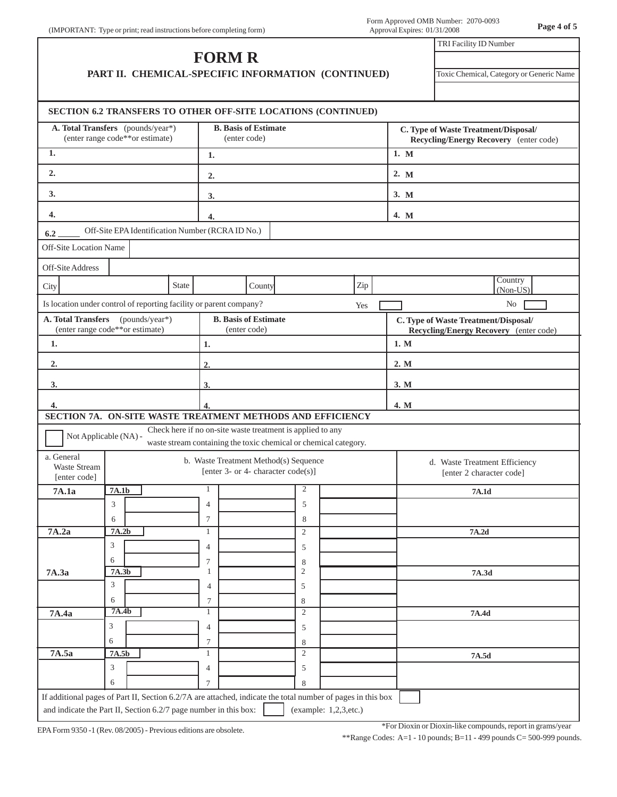| (IMPORTANT: Type or print; read instructions before completing form) | Approval Expires: 01/31/2008 |
|----------------------------------------------------------------------|------------------------------|
|                                                                      |                              |

|                                                                                                                        |                                                                      |       | <b>FORM R</b>                         |                                             |                                                                                                                                |                                                                                |      | TRI Facility ID Number                                                         |  |  |
|------------------------------------------------------------------------------------------------------------------------|----------------------------------------------------------------------|-------|---------------------------------------|---------------------------------------------|--------------------------------------------------------------------------------------------------------------------------------|--------------------------------------------------------------------------------|------|--------------------------------------------------------------------------------|--|--|
|                                                                                                                        | PART II. CHEMICAL-SPECIFIC INFORMATION (CONTINUED)                   |       |                                       |                                             |                                                                                                                                |                                                                                |      | Toxic Chemical, Category or Generic Name                                       |  |  |
| SECTION 6.2 TRANSFERS TO OTHER OFF-SITE LOCATIONS (CONTINUED)                                                          |                                                                      |       |                                       |                                             |                                                                                                                                |                                                                                |      |                                                                                |  |  |
|                                                                                                                        | A. Total Transfers (pounds/year*)<br>(enter range code**or estimate) |       |                                       | <b>B.</b> Basis of Estimate<br>(enter code) |                                                                                                                                |                                                                                |      | C. Type of Waste Treatment/Disposal/<br>Recycling/Energy Recovery (enter code) |  |  |
| 1.<br>1.                                                                                                               |                                                                      |       |                                       |                                             |                                                                                                                                | 1. M                                                                           |      |                                                                                |  |  |
| 2.                                                                                                                     | 2.                                                                   |       |                                       |                                             |                                                                                                                                |                                                                                | 2. M |                                                                                |  |  |
| 3.                                                                                                                     |                                                                      |       | 3.                                    |                                             |                                                                                                                                |                                                                                | 3. M |                                                                                |  |  |
| 4.                                                                                                                     |                                                                      |       | 4.                                    |                                             |                                                                                                                                |                                                                                | 4. M |                                                                                |  |  |
| 6.2                                                                                                                    | Off-Site EPA Identification Number (RCRA ID No.)                     |       |                                       |                                             |                                                                                                                                |                                                                                |      |                                                                                |  |  |
| Off-Site Location Name                                                                                                 |                                                                      |       |                                       |                                             |                                                                                                                                |                                                                                |      |                                                                                |  |  |
| Off-Site Address                                                                                                       |                                                                      |       |                                       |                                             |                                                                                                                                |                                                                                |      |                                                                                |  |  |
| City                                                                                                                   |                                                                      | State |                                       | County                                      |                                                                                                                                | Zip                                                                            |      | Country<br>$(Non-US)$                                                          |  |  |
| Is location under control of reporting facility or parent company?                                                     |                                                                      |       |                                       |                                             |                                                                                                                                | Yes                                                                            |      | N <sub>0</sub>                                                                 |  |  |
| A. Total Transfers<br>(pounds/year*)<br><b>B.</b> Basis of Estimate<br>(enter range code**or estimate)<br>(enter code) |                                                                      |       |                                       |                                             |                                                                                                                                | C. Type of Waste Treatment/Disposal/<br>Recycling/Energy Recovery (enter code) |      |                                                                                |  |  |
| 1.                                                                                                                     |                                                                      |       | 1.                                    |                                             |                                                                                                                                |                                                                                |      | 1. M                                                                           |  |  |
| 2.                                                                                                                     |                                                                      |       | 2.                                    |                                             |                                                                                                                                |                                                                                | 2. M |                                                                                |  |  |
| 3.                                                                                                                     |                                                                      |       | 3.                                    |                                             |                                                                                                                                |                                                                                | 3. M |                                                                                |  |  |
| 4.                                                                                                                     |                                                                      |       | 4.                                    |                                             |                                                                                                                                |                                                                                | 4. M |                                                                                |  |  |
| SECTION 7A. ON-SITE WASTE TREATMENT METHODS AND EFFICIENCY                                                             |                                                                      |       |                                       |                                             |                                                                                                                                |                                                                                |      |                                                                                |  |  |
|                                                                                                                        | Not Applicable (NA) -                                                |       |                                       |                                             | Check here if no on-site waste treatment is applied to any<br>waste stream containing the toxic chemical or chemical category. |                                                                                |      |                                                                                |  |  |
| a. General<br>Waste Stream                                                                                             |                                                                      |       | b. Waste Treatment Method(s) Sequence | [enter 3- or 4- character code(s)]          |                                                                                                                                |                                                                                |      | d. Waste Treatment Efficiency<br>[enter 2 character code]                      |  |  |
| [enter code]<br>7A.1a                                                                                                  | 7A.1b                                                                |       |                                       |                                             | 2                                                                                                                              |                                                                                |      | 7A.1d                                                                          |  |  |
|                                                                                                                        | 3                                                                    |       | $\overline{4}$                        |                                             | 5                                                                                                                              |                                                                                |      |                                                                                |  |  |
|                                                                                                                        | 6                                                                    |       | 7                                     |                                             | 8                                                                                                                              |                                                                                |      |                                                                                |  |  |
|                                                                                                                        | 7A.2b                                                                |       | 1<br>$\overline{4}$                   |                                             | $\sqrt{2}$                                                                                                                     |                                                                                |      | 7A.2d                                                                          |  |  |
|                                                                                                                        |                                                                      |       |                                       |                                             | 5                                                                                                                              |                                                                                |      |                                                                                |  |  |
|                                                                                                                        | 3                                                                    |       |                                       |                                             |                                                                                                                                |                                                                                |      |                                                                                |  |  |
|                                                                                                                        | 6<br>7A.3b                                                           |       | 7<br>$\mathbf{1}$                     |                                             | 8<br>$\mathfrak{2}$                                                                                                            |                                                                                |      | 7A.3d                                                                          |  |  |
|                                                                                                                        | 3                                                                    |       | 4                                     |                                             | 5                                                                                                                              |                                                                                |      |                                                                                |  |  |
|                                                                                                                        | 6                                                                    |       | 7                                     |                                             | 8                                                                                                                              |                                                                                |      |                                                                                |  |  |
| 7A.4a                                                                                                                  | 7A.4b                                                                |       | 1                                     |                                             | $\overline{2}$                                                                                                                 |                                                                                |      | 7A.4d                                                                          |  |  |
|                                                                                                                        | 3                                                                    |       | $\overline{4}$                        |                                             | 5                                                                                                                              |                                                                                |      |                                                                                |  |  |
|                                                                                                                        | 6                                                                    |       | 7                                     |                                             | 8                                                                                                                              |                                                                                |      |                                                                                |  |  |
| 7A.2a<br>7A.3a<br>7A.5a                                                                                                | 7A.5b                                                                |       | $\mathbf{1}$                          |                                             | $\mathfrak{2}$                                                                                                                 |                                                                                |      | 7A.5d                                                                          |  |  |
|                                                                                                                        | 3<br>6                                                               |       | 4<br>7                                |                                             | 5<br>8                                                                                                                         |                                                                                |      |                                                                                |  |  |

\*For Dioxin or Dioxin-like compounds, report in grams/year

\*\*Range Codes: A=1 - 10 pounds; B=11 - 499 pounds C= 500-999 pounds.